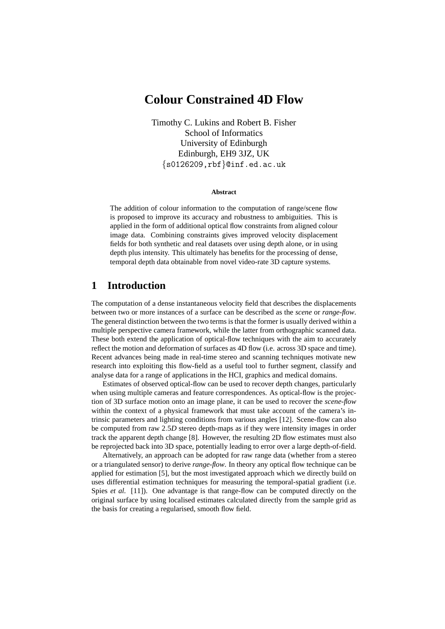# **Colour Constrained 4D Flow**

Timothy C. Lukins and Robert B. Fisher School of Informatics University of Edinburgh Edinburgh, EH9 3JZ, UK {s0126209,rbf}@inf.ed.ac.uk

#### **Abstract**

The addition of colour information to the computation of range/scene flow is proposed to improve its accuracy and robustness to ambiguities. This is applied in the form of additional optical flow constraints from aligned colour image data. Combining constraints gives improved velocity displacement fields for both synthetic and real datasets over using depth alone, or in using depth plus intensity. This ultimately has benefits for the processing of dense, temporal depth data obtainable from novel video-rate 3D capture systems.

# **1 Introduction**

The computation of a dense instantaneous velocity field that describes the displacements between two or more instances of a surface can be described as the *scene* or *range-flow*. The general distinction between the two terms is that the former is usually derived within a multiple perspective camera framework, while the latter from orthographic scanned data. These both extend the application of optical-flow techniques with the aim to accurately reflect the motion and deformation of surfaces as 4D flow (i.e. across 3D space and time). Recent advances being made in real-time stereo and scanning techniques motivate new research into exploiting this flow-field as a useful tool to further segment, classify and analyse data for a range of applications in the HCI, graphics and medical domains.

Estimates of observed optical-flow can be used to recover depth changes, particularly when using multiple cameras and feature correspondences. As optical-flow is the projection of 3D surface motion onto an image plane, it can be used to recover the *scene-flow* within the context of a physical framework that must take account of the camera's intrinsic parameters and lighting conditions from various angles [12]. Scene-flow can also be computed from raw 2.5*D* stereo depth-maps as if they were intensity images in order track the apparent depth change [8]. However, the resulting 2D flow estimates must also be reprojected back into 3D space, potentially leading to error over a large depth-of-field.

Alternatively, an approach can be adopted for raw range data (whether from a stereo or a triangulated sensor) to derive *range-flow*. In theory any optical flow technique can be applied for estimation [5], but the most investigated approach which we directly build on uses differential estimation techniques for measuring the temporal-spatial gradient (i.e. Spies *et al.* [11]). One advantage is that range-flow can be computed directly on the original surface by using localised estimates calculated directly from the sample grid as the basis for creating a regularised, smooth flow field.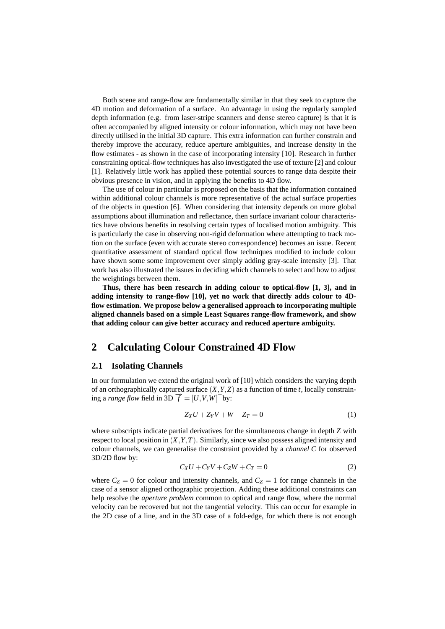Both scene and range-flow are fundamentally similar in that they seek to capture the 4D motion and deformation of a surface. An advantage in using the regularly sampled depth information (e.g. from laser-stripe scanners and dense stereo capture) is that it is often accompanied by aligned intensity or colour information, which may not have been directly utilised in the initial 3D capture. This extra information can further constrain and thereby improve the accuracy, reduce aperture ambiguities, and increase density in the flow estimates - as shown in the case of incorporating intensity [10]. Research in further constraining optical-flow techniques has also investigated the use of texture [2] and colour [1]. Relatively little work has applied these potential sources to range data despite their obvious presence in vision, and in applying the benefits to 4D flow.

The use of colour in particular is proposed on the basis that the information contained within additional colour channels is more representative of the actual surface properties of the objects in question [6]. When considering that intensity depends on more global assumptions about illumination and reflectance, then surface invariant colour characteristics have obvious benefits in resolving certain types of localised motion ambiguity. This is particularly the case in observing non-rigid deformation where attempting to track motion on the surface (even with accurate stereo correspondence) becomes an issue. Recent quantitative assessment of standard optical flow techniques modified to include colour have shown some some improvement over simply adding gray-scale intensity [3]. That work has also illustrated the issues in deciding which channels to select and how to adjust the weightings between them.

**Thus, there has been research in adding colour to optical-flow [1, 3], and in adding intensity to range-flow [10], yet no work that directly adds colour to 4Dflow estimation. We propose below a generalised approach to incorporating multiple aligned channels based on a simple Least Squares range-flow framework, and show that adding colour can give better accuracy and reduced aperture ambiguity.**

### **2 Calculating Colour Constrained 4D Flow**

#### **2.1 Isolating Channels**

In our formulation we extend the original work of [10] which considers the varying depth of an orthographically captured surface  $(X, Y, Z)$  as a function of time *t*, locally constraining a *range flow* field in 3D  $\vec{f} = [U, V, W]^\top$  by:

$$
Z_X U + Z_Y V + W + Z_T = 0 \tag{1}
$$

where subscripts indicate partial derivatives for the simultaneous change in depth *Z* with respect to local position in (*X*,*Y*,*T*). Similarly, since we also possess aligned intensity and colour channels, we can generalise the constraint provided by a *channel C* for observed 3D/2D flow by:

$$
C_XU + C_YV + C_ZW + C_T = 0 \tag{2}
$$

where  $C_Z = 0$  for colour and intensity channels, and  $C_Z = 1$  for range channels in the case of a sensor aligned orthographic projection. Adding these additional constraints can help resolve the *aperture problem* common to optical and range flow, where the normal velocity can be recovered but not the tangential velocity. This can occur for example in the 2D case of a line, and in the 3D case of a fold-edge, for which there is not enough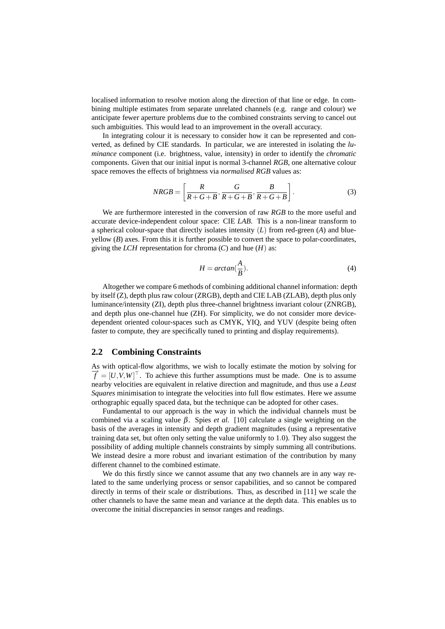localised information to resolve motion along the direction of that line or edge. In combining multiple estimates from separate unrelated channels (e.g. range and colour) we anticipate fewer aperture problems due to the combined constraints serving to cancel out such ambiguities. This would lead to an improvement in the overall accuracy.

In integrating colour it is necessary to consider how it can be represented and converted, as defined by CIE standards. In particular, we are interested in isolating the *luminance* component (i.e. brightness, value, intensity) in order to identify the *chromatic* components. Given that our initial input is normal 3-channel *RGB*, one alternative colour space removes the effects of brightness via *normalised RGB* values as:

$$
NRGB = \left[\frac{R}{R+G+B}, \frac{G}{R+G+B}, \frac{B}{R+G+B}\right].
$$
\n(3)

We are furthermore interested in the conversion of raw *RGB* to the more useful and accurate device-independent colour space: CIE *LAB*. This is a non-linear transform to a spherical colour-space that directly isolates intensity (*L*) from red-green (*A*) and blue $y$ ellow  $(B)$  axes. From this it is further possible to convert the space to polar-coordinates, giving the *LCH* representation for chroma  $(C)$  and hue  $(H)$  as:

$$
H = \arctan(\frac{A}{B}).\tag{4}
$$

Altogether we compare 6 methods of combining additional channel information: depth by itself (Z), depth plus raw colour (ZRGB), depth and CIE LAB (ZLAB), depth plus only luminance/intensity (ZI), depth plus three-channel brightness invariant colour (ZNRGB), and depth plus one-channel hue (ZH). For simplicity, we do not consider more devicedependent oriented colour-spaces such as CMYK, YIQ, and YUV (despite being often faster to compute, they are specifically tuned to printing and display requirements).

#### **2.2 Combining Constraints**

As with optical-flow algorithms, we wish to locally estimate the motion by solving for  $\vec{f} = [U, V, W]^\top$ . To achieve this further assumptions must be made. One is to assume nearby velocities are equivalent in relative direction and magnitude, and thus use a *Least Squares* minimisation to integrate the velocities into full flow estimates. Here we assume orthographic equally spaced data, but the technique can be adopted for other cases.

Fundamental to our approach is the way in which the individual channels must be combined via a scaling value  $β$ . Spies *et al.* [10] calculate a single weighting on the basis of the averages in intensity and depth gradient magnitudes (using a representative training data set, but often only setting the value uniformly to 1.0). They also suggest the possibility of adding multiple channels constraints by simply summing all contributions. We instead desire a more robust and invariant estimation of the contribution by many different channel to the combined estimate.

We do this firstly since we cannot assume that any two channels are in any way related to the same underlying process or sensor capabilities, and so cannot be compared directly in terms of their scale or distributions. Thus, as described in [11] we scale the other channels to have the same mean and variance at the depth data. This enables us to overcome the initial discrepancies in sensor ranges and readings.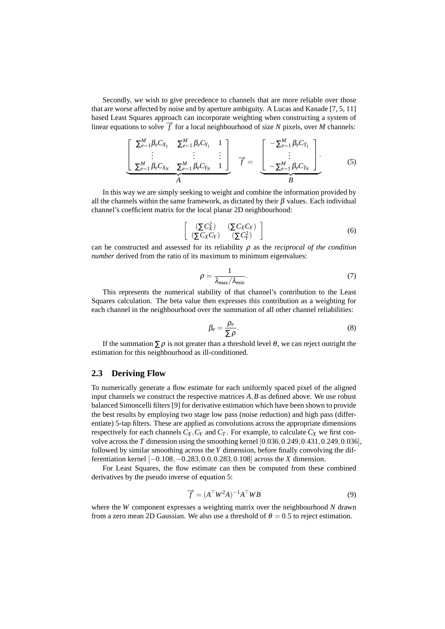Secondly, we wish to give precedence to channels that are more reliable over those that are worse affected by noise and by aperture ambiguity. A Lucas and Kanade [7, 5, 11] based Least Squares approach can incorporate weighting when constructing a system of linear equations to solve  $\overrightarrow{f}$  for a local neighbourhood of size *N* pixels, over *M* channels:

$$
\left[\begin{array}{ccc} \sum_{e=1}^{M} \beta_e C_{X_1} & \sum_{e=1}^{M} \beta_e C_{Y_1} & 1\\ \vdots & \vdots & \vdots\\ \sum_{e=1}^{M} \beta_e C_{X_N} & \sum_{e=1}^{M} \beta_e C_{Y_N} & 1 \end{array}\right] \overrightarrow{f} = \begin{array}{ccc} -\sum_{e=1}^{M} \beta_e C_{T_1} \\ \vdots & \vdots\\ -\sum_{e=1}^{M} \beta_e C_{T_N} \end{array}\right]. \tag{5}
$$

In this way we are simply seeking to weight and combine the information provided by all the channels within the same framework, as dictated by their  $\beta$  values. Each individual channel's coefficient matrix for the local planar 2D neighbourhood:

$$
\left[\begin{array}{cc} (\Sigma C_X^2) & (\Sigma C_X C_Y) \\ (\Sigma C_X C_Y) & (\Sigma C_Y^2) \end{array}\right] \tag{6}
$$

can be constructed and assessed for its reliability ρ as the *reciprocal of the condition number* derived from the ratio of its maximum to minimum eigenvalues:

$$
\rho = \frac{1}{\lambda_{\text{max}}/\lambda_{\text{min}}}.\tag{7}
$$

This represents the numerical stability of that channel's contribution to the Least Squares calculation. The beta value then expresses this contribution as a weighting for each channel in the neighbourhood over the summation of all other channel reliabilities:

$$
\beta_e = \frac{\rho_e}{\sum \rho}.
$$
\n(8)

If the summation  $\sum \rho$  is not greater than a threshold level  $\theta$ , we can reject outright the estimation for this neighbourhood as ill-conditioned.

#### **2.3 Deriving Flow**

To numerically generate a flow estimate for each uniformly spaced pixel of the aligned input channels we construct the respective matrices *A*,*B* as defined above. We use robust balanced Simoncelli filters [9] for derivative estimation which have been shown to provide the best results by employing two stage low pass (noise reduction) and high pass (differentiate) 5-tap filters. These are applied as convolutions across the appropriate dimensions respectively for each channels  $C_X$ ,  $C_Y$  and  $C_T$ . For example, to calculate  $C_X$  we first convolve across the *T* dimension using the smoothing kernel [0.036,0.249,0.431,0.249,0.036], followed by similar smoothing across the *Y* dimension, before finally convolving the differentiation kernel [−0.108,−0.283,0.0,0.283,0.108] across the *X* dimension.

For Least Squares, the flow estimate can then be computed from these combined derivatives by the pseudo inverse of equation 5:

$$
\overrightarrow{f} = (A^{\top}W^2A)^{-1}A^{\top}WB \tag{9}
$$

where the *W* component expresses a weighting matrix over the neighbourhood *N* drawn from a zero mean 2D Gaussian. We also use a threshold of  $\theta = 0.5$  to reject estimation.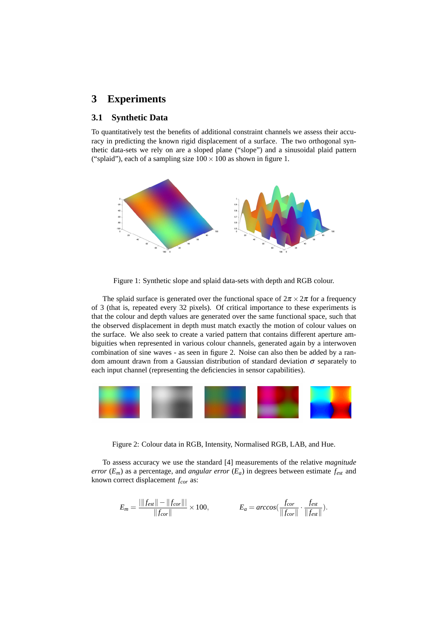### **3 Experiments**

#### **3.1 Synthetic Data**

To quantitatively test the benefits of additional constraint channels we assess their accuracy in predicting the known rigid displacement of a surface. The two orthogonal synthetic data-sets we rely on are a sloped plane ("slope") and a sinusoidal plaid pattern ("splaid"), each of a sampling size  $100 \times 100$  as shown in figure 1.



Figure 1: Synthetic slope and splaid data-sets with depth and RGB colour.

The splaid surface is generated over the functional space of  $2\pi \times 2\pi$  for a frequency of 3 (that is, repeated every 32 pixels). Of critical importance to these experiments is that the colour and depth values are generated over the same functional space, such that the observed displacement in depth must match exactly the motion of colour values on the surface. We also seek to create a varied pattern that contains different aperture ambiguities when represented in various colour channels, generated again by a interwoven combination of sine waves - as seen in figure 2. Noise can also then be added by a random amount drawn from a Gaussian distribution of standard deviation  $\sigma$  separately to each input channel (representing the deficiencies in sensor capabilities).



Figure 2: Colour data in RGB, Intensity, Normalised RGB, LAB, and Hue.

To assess accuracy we use the standard [4] measurements of the relative *magnitude error*  $(E_m)$  as a percentage, and *angular error*  $(E_a)$  in degrees between estimate  $f_{est}$  and known correct displacement *fcor* as:

$$
E_m = \frac{|\|f_{est}\| - \|f_{cor}\||}{\|f_{cor}\|} \times 100, \qquad E_a = \arccos(\frac{f_{cor}}{\|f_{cor}\|} \cdot \frac{f_{est}}{\|f_{csr}\|}).
$$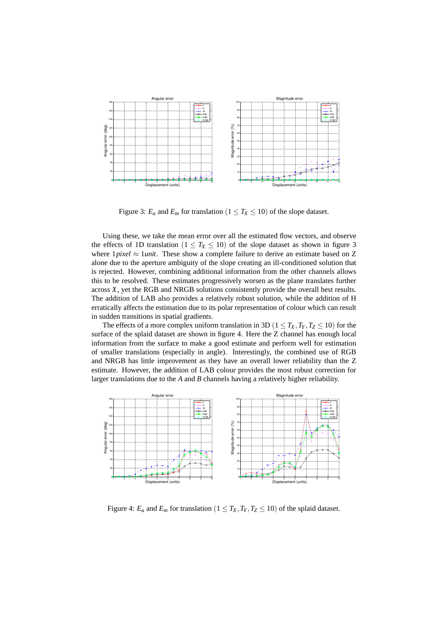

Figure 3:  $E_a$  and  $E_m$  for translation ( $1 \leq T_X \leq 10$ ) of the slope dataset.

Using these, we take the mean error over all the estimated flow vectors, and observe the effects of 1D translation ( $1 \leq T_X \leq 10$ ) of the slope dataset as shown in figure 3 where 1*pixel* ≈ 1*unit*. These show a complete failure to derive an estimate based on Z alone due to the aperture ambiguity of the slope creating an ill-conditioned solution that is rejected. However, combining additional information from the other channels allows this to be resolved. These estimates progressively worsen as the plane translates further across *X*, yet the RGB and NRGB solutions consistently provide the overall best results. The addition of LAB also provides a relatively robust solution, while the addition of H erratically affects the estimation due to its polar representation of colour which can result in sudden transitions in spatial gradients.

The effects of a more complex uniform translation in 3D ( $1 \le T_X, T_Y, T_Z \le 10$ ) for the surface of the splaid dataset are shown in figure 4. Here the Z channel has enough local information from the surface to make a good estimate and perform well for estimation of smaller translations (especially in angle). Interestingly, the combined use of RGB and NRGB has little improvement as they have an overall lower reliability than the Z estimate. However, the addition of LAB colour provides the most robust correction for larger translations due to the *A* and *B* channels having a relatively higher reliability.



Figure 4:  $E_a$  and  $E_m$  for translation ( $1 \leq T_X, T_Y, T_Z \leq 10$ ) of the splaid dataset.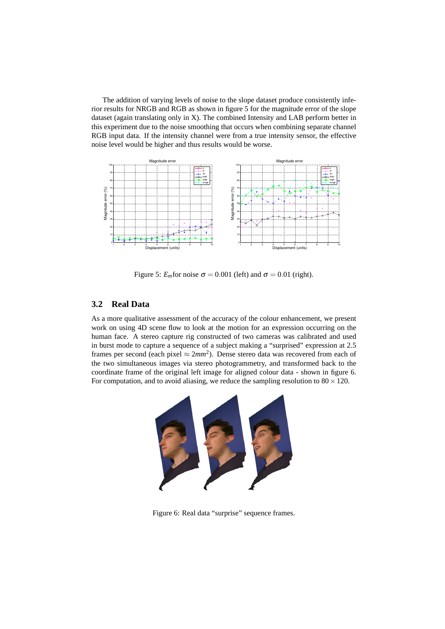The addition of varying levels of noise to the slope dataset produce consistently inferior results for NRGB and RGB as shown in figure 5 for the magnitude error of the slope dataset (again translating only in X). The combined Intensity and LAB perform better in this experiment due to the noise smoothing that occurs when combining separate channel RGB input data. If the intensity channel were from a true intensity sensor, the effective noise level would be higher and thus results would be worse.



Figure 5:  $E_m$ for noise  $\sigma = 0.001$  (left) and  $\sigma = 0.01$  (right).

#### **3.2 Real Data**

As a more qualitative assessment of the accuracy of the colour enhancement, we present work on using 4D scene flow to look at the motion for an expression occurring on the human face. A stereo capture rig constructed of two cameras was calibrated and used in burst mode to capture a sequence of a subject making a "surprised" expression at 2.5 frames per second (each pixel  $\approx 2mm^2$ ). Dense stereo data was recovered from each of the two simultaneous images via stereo photogrammetry, and transformed back to the coordinate frame of the original left image for aligned colour data - shown in figure 6. For computation, and to avoid aliasing, we reduce the sampling resolution to  $80 \times 120$ .



Figure 6: Real data "surprise" sequence frames.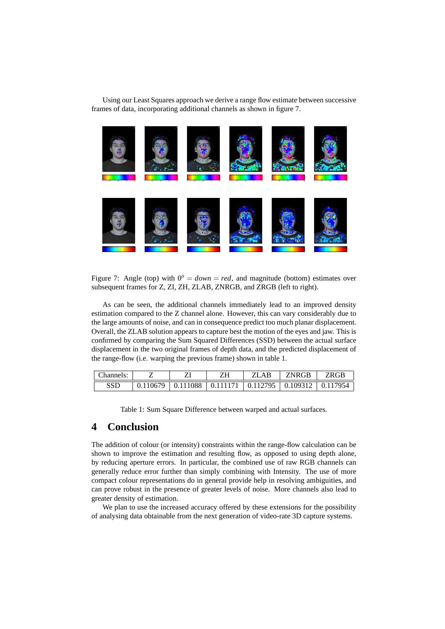Using our Least Squares approach we derive a range flow estimate between successive frames of data, incorporating additional channels as shown in figure 7.



Figure 7: Angle (top) with  $0^{\circ} = down = red$ , and magnitude (bottom) estimates over subsequent frames for Z, ZI, ZH, ZLAB, ZNRGB, and ZRGB (left to right).

As can be seen, the additional channels immediately lead to an improved density estimation compared to the Z channel alone. However, this can vary considerably due to the large amounts of noise, and can in consequence predict too much planar displacement. Overall, the ZLAB solution appears to capture best the motion of the eyes and jaw. This is confirmed by comparing the Sum Squared Differences (SSD) between the actual surface displacement in the two original frames of depth data, and the predicted displacement of the range-flow (i.e. warping the previous frame) shown in table 1.

| Channels: |                                                                             | ZLAB | ZNRGB | ZRGP |
|-----------|-----------------------------------------------------------------------------|------|-------|------|
| SSD       | $0.110679$   $0.111088$   $0.111171$   $0.112795$   $0.109312$   $0.117954$ |      |       |      |

Table 1: Sum Square Difference between warped and actual surfaces.

# **4 Conclusion**

The addition of colour (or intensity) constraints within the range-flow calculation can be shown to improve the estimation and resulting flow, as opposed to using depth alone, by reducing aperture errors. In particular, the combined use of raw RGB channels can generally reduce error further than simply combining with Intensity. The use of more compact colour representations do in general provide help in resolving ambiguities, and can prove robust in the presence of greater levels of noise. More channels also lead to greater density of estimation.

We plan to use the increased accuracy offered by these extensions for the possibility of analysing data obtainable from the next generation of video-rate 3D capture systems.